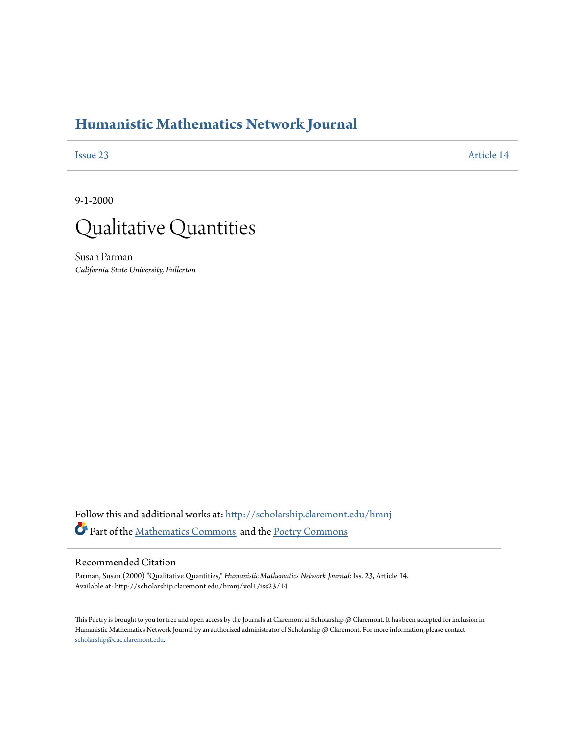## **[Humanistic Mathematics Network Journal](http://scholarship.claremont.edu/hmnj?utm_source=scholarship.claremont.edu%2Fhmnj%2Fvol1%2Fiss23%2F14&utm_medium=PDF&utm_campaign=PDFCoverPages)**

[Issue 23](http://scholarship.claremont.edu/hmnj/vol1/iss23?utm_source=scholarship.claremont.edu%2Fhmnj%2Fvol1%2Fiss23%2F14&utm_medium=PDF&utm_campaign=PDFCoverPages) [Article 14](http://scholarship.claremont.edu/hmnj/vol1/iss23/14?utm_source=scholarship.claremont.edu%2Fhmnj%2Fvol1%2Fiss23%2F14&utm_medium=PDF&utm_campaign=PDFCoverPages)

9-1-2000



Susan Parman *California State University, Fullerton*

Follow this and additional works at: [http://scholarship.claremont.edu/hmnj](http://scholarship.claremont.edu/hmnj?utm_source=scholarship.claremont.edu%2Fhmnj%2Fvol1%2Fiss23%2F14&utm_medium=PDF&utm_campaign=PDFCoverPages) Part of the [Mathematics Commons](http://network.bepress.com/hgg/discipline/174?utm_source=scholarship.claremont.edu%2Fhmnj%2Fvol1%2Fiss23%2F14&utm_medium=PDF&utm_campaign=PDFCoverPages), and the [Poetry Commons](http://network.bepress.com/hgg/discipline/1153?utm_source=scholarship.claremont.edu%2Fhmnj%2Fvol1%2Fiss23%2F14&utm_medium=PDF&utm_campaign=PDFCoverPages)

## Recommended Citation

Parman, Susan (2000) "Qualitative Quantities," *Humanistic Mathematics Network Journal*: Iss. 23, Article 14. Available at: http://scholarship.claremont.edu/hmnj/vol1/iss23/14

This Poetry is brought to you for free and open access by the Journals at Claremont at Scholarship  $@$  Claremont. It has been accepted for inclusion in Humanistic Mathematics Network Journal by an authorized administrator of Scholarship @ Claremont. For more information, please contact [scholarship@cuc.claremont.edu.](mailto:scholarship@cuc.claremont.edu)